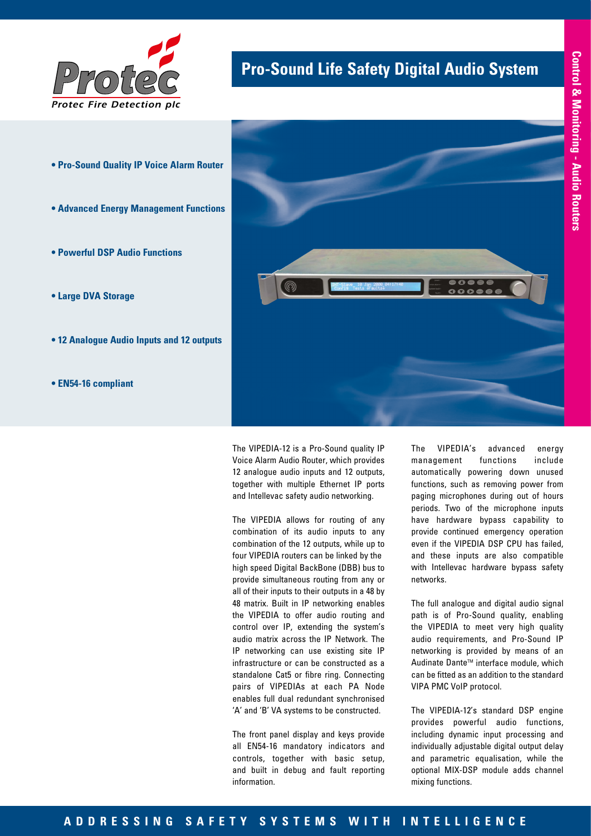

- 
- **Advanced Energy Management Functions**

**• Pro-Sound Quality IP Voice Alarm Router**

- **Powerful DSP Audio Functions**
- **Large DVA Storage**
- **12 Analogue Audio Inputs and 12 outputs**
- **EN54-16 compliant**

**Pro-Sound Life Safety Digital Audio System** 



The VIPEDIA-12 is a Pro-Sound quality IP Voice Alarm Audio Router, which provides 12 analogue audio inputs and 12 outputs, together with multiple Ethernet IP ports and Intellevac safety audio networking.

The VIPEDIA allows for routing of any combination of its audio inputs to any combination of the 12 outputs, while up to four VIPEDIA routers can be linked by the high speed Digital BackBone (DBB) bus to provide simultaneous routing from any or all of their inputs to their outputs in a 48 by 48 matrix. Built in IP networking enables the VIPEDIA to offer audio routing and control over IP, extending the system's audio matrix across the IP Network. The IP networking can use existing site IP infrastructure or can be constructed as a standalone Cat5 or fibre ring. Connecting pairs of VIPEDIAs at each PA Node enables full dual redundant synchronised 'A' and 'B' VA systems to be constructed.

The front panel display and keys provide all EN54-16 mandatory indicators and controls, together with basic setup, and built in debug and fault reporting information.

The VIPEDIA's advanced energy management functions include automatically powering down unused functions, such as removing power from paging microphones during out of hours periods. Two of the microphone inputs have hardware bypass capability to provide continued emergency operation even if the VIPEDIA DSP CPU has failed, and these inputs are also compatible with Intellevac hardware bypass safety networks.

The full analogue and digital audio signal path is of Pro-Sound quality, enabling the VIPEDIA to meet very high quality audio requirements, and Pro-Sound IP networking is provided by means of an Audinate Dante™ interface module, which can be fitted as an addition to the standard VIPA PMC VoIP protocol.

The VIPEDIA-12's standard DSP engine provides powerful audio functions, including dynamic input processing and individually adjustable digital output delay and parametric equalisation, while the optional MIX-DSP module adds channel mixing functions.